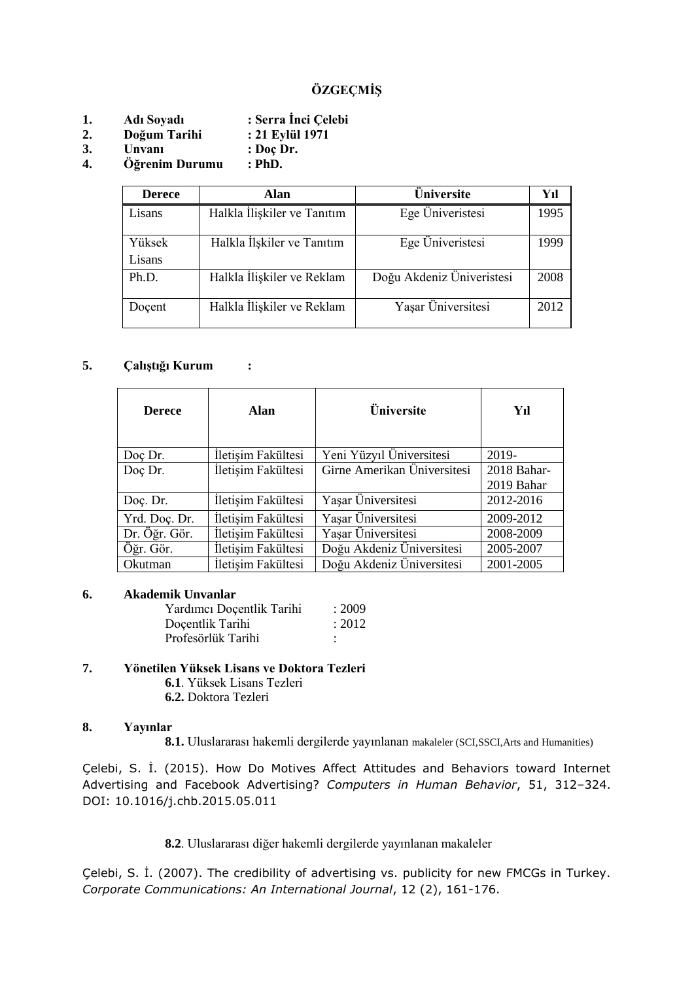# **ÖZGEÇMİŞ**

- **1. Adı Soyadı : Serra İnci Çelebi**
- **2. Doğum Tarihi : 21 Eylül 1971**
- **3. Unvanı : Doç Dr.**
- **4. Öğrenim Durumu : PhD.**

| <b>Derece</b>    | Alan                        | Üniversite                | Yıl  |
|------------------|-----------------------------|---------------------------|------|
| Lisans           | Halkla İlişkiler ve Tanıtım | Ege Üniveristesi          | 1995 |
| Yüksek<br>Lisans | Halkla İlşkiler ve Tanıtım  | Ege Üniveristesi          | 1999 |
|                  |                             |                           |      |
| Ph.D.            | Halkla İlişkiler ve Reklam  | Doğu Akdeniz Üniveristesi | 2008 |
| Docent           | Halkla İlişkiler ve Reklam  | Yaşar Üniversitesi        | 2012 |

# **5. Çalıştığı Kurum :**

| <b>Derece</b> | Alan               | <b>Üniversite</b>           | Yıl                       |
|---------------|--------------------|-----------------------------|---------------------------|
| Doç Dr.       | İletişim Fakültesi | Yeni Yüzyıl Üniversitesi    | 2019-                     |
| Doç Dr.       | İletişim Fakültesi | Girne Amerikan Üniversitesi | 2018 Bahar-<br>2019 Bahar |
| Doç. Dr.      | İletişim Fakültesi | Yaşar Üniversitesi          | 2012-2016                 |
| Yrd. Doç. Dr. | İletişim Fakültesi | Yaşar Üniversitesi          | 2009-2012                 |
| Dr. Öğr. Gör. | İletişim Fakültesi | Yaşar Üniversitesi          | 2008-2009                 |
| Öğr. Gör.     | İletişim Fakültesi | Doğu Akdeniz Üniversitesi   | 2005-2007                 |
| Okutman       | İletişim Fakültesi | Doğu Akdeniz Üniversitesi   | 2001-2005                 |

### **6. Akademik Unvanlar**

Yardımcı Doçentlik Tarihi : 2009 Docentlik Tarihi : 2012 Profesörlük Tarihi :

## **7. Yönetilen Yüksek Lisans ve Doktora Tezleri**

- **6.1**. Yüksek Lisans Tezleri
- **6.2.** Doktora Tezleri

### **8. Yayınlar**

**8.1.** Uluslararası hakemli dergilerde yayınlanan makaleler (SCI,SSCI,Arts and Humanities)

Çelebi, S. İ. (2015). How Do Motives Affect Attitudes and Behaviors toward Internet Advertising and Facebook Advertising? *Computers in Human Behavior*, 51, 312–324. DOI: 10.1016/j.chb.2015.05.011

# **8.2**. Uluslararası diğer hakemli dergilerde yayınlanan makaleler

Çelebi, S. İ. (2007). The credibility of advertising vs. publicity for new FMCGs in Turkey. *Corporate Communications: An International Journal*, 12 (2), 161-176.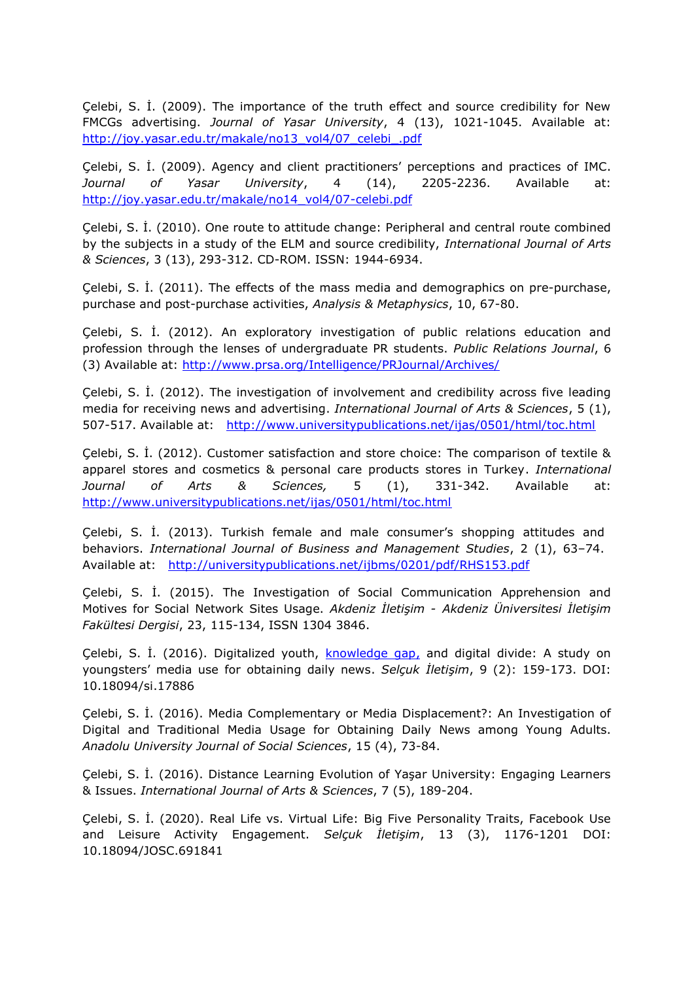Çelebi, S. İ. (2009). The importance of the truth effect and source credibility for New FMCGs advertising. *Journal of Yasar University*, 4 (13), 1021-1045. Available at: http://joy.yasar.edu.tr/makale/no13\_vol4/07\_celebi\_.pdf

Çelebi, S. İ. (2009). Agency and client practitioners' perceptions and practices of IMC. *Journal of Yasar University*, 4 (14), 2205-2236. Available at: [http://joy.yasar.edu.tr/makale/no14\\_vol4/07-celebi.pdf](http://joy.yasar.edu.tr/makale/no14_vol4/07-celebi.pdf)

Çelebi, S. İ. (2010). One route to attitude change: Peripheral and central route combined by the subjects in a study of the ELM and source credibility, *International Journal of Arts & Sciences*, 3 (13), 293-312. CD-ROM. ISSN: 1944-6934.

Çelebi, S. İ. (2011). The effects of the mass media and demographics on pre-purchase, purchase and post-purchase activities, *Analysis & Metaphysics*, 10, 67-80.

Çelebi, S. İ. (2012). An exploratory investigation of public relations education and profession through the lenses of undergraduate PR students. *Public Relations Journal*, 6 (3) Available at:<http://www.prsa.org/Intelligence/PRJournal/Archives/>

Çelebi, S. İ. (2012). The investigation of involvement and credibility across five leading media for receiving news and advertising. *International Journal of Arts & Sciences*, 5 (1), 507-517. Available at: <http://www.universitypublications.net/ijas/0501/html/toc.html>

Çelebi, S. İ. (2012). Customer satisfaction and store choice: The comparison of textile & apparel stores and cosmetics & personal care products stores in Turkey. *International Journal of Arts & Sciences,* 5 (1), 331-342. Available at: <http://www.universitypublications.net/ijas/0501/html/toc.html>

Çelebi, S. İ. (2013). Turkish female and male consumer's shopping attitudes and behaviors. *International Journal of Business and Management Studies*, 2 (1), 63–74. Available at: <http://universitypublications.net/ijbms/0201/pdf/RHS153.pdf>

Çelebi, S. İ. (2015). The Investigation of Social Communication Apprehension and Motives for Social Network Sites Usage. *Akdeniz İletişim - Akdeniz Üniversitesi İletişim Fakültesi Dergisi*, 23, 115-134, ISSN 1304 3846.

Çelebi, S. İ. (2016). Digitalized youth, knowledge gap, and digital divide: A study on youngsters' media use for obtaining daily news. *Selçuk İletişim*, 9 (2): 159-173. DOI: 10.18094/si.17886

Çelebi, S. İ. (2016). Media Complementary or Media Displacement?: An Investigation of Digital and Traditional Media Usage for Obtaining Daily News among Young Adults. *Anadolu University Journal of Social Sciences*, 15 (4), 73-84.

Çelebi, S. İ. (2016). Distance Learning Evolution of Yaşar University: Engaging Learners & Issues. *International Journal of Arts & Sciences*, 7 (5), 189-204.

Çelebi, S. İ. (2020). Real Life vs. Virtual Life: Big Five Personality Traits, Facebook Use and Leisure Activity Engagement. *Selçuk İletişim*, 13 (3), 1176-1201 DOI: 10.18094/JOSC.691841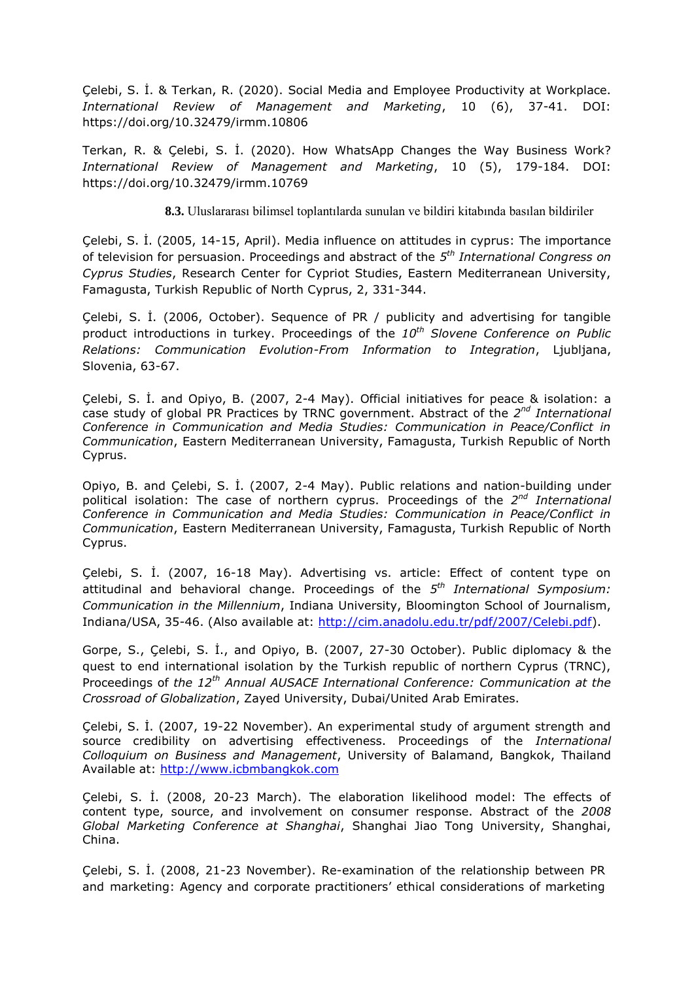Çelebi, S. İ. & Terkan, R. (2020). Social Media and Employee Productivity at Workplace. *International Review of Management and Marketing*, 10 (6), 37-41. DOI: https://doi.org/10.32479/irmm.10806

Terkan, R. & Çelebi, S. İ. (2020). How WhatsApp Changes the Way Business Work? *International Review of Management and Marketing*, 10 (5), 179-184. DOI: https://doi.org/10.32479/irmm.10769

**8.3.** Uluslararası bilimsel toplantılarda sunulan ve bildiri kitabında basılan bildiriler

Çelebi, S. İ. (2005, 14-15, April). Media influence on attitudes in cyprus: The importance of television for persuasion. Proceedings and abstract of the *5 th International Congress on Cyprus Studies*, Research Center for Cypriot Studies, Eastern Mediterranean University, Famagusta, Turkish Republic of North Cyprus, 2, 331-344.

Çelebi, S. İ. (2006, October). Sequence of PR / publicity and advertising for tangible product introductions in turkey. Proceedings of the *10th Slovene Conference on Public Relations: Communication Evolution-From Information to Integration*, Ljubljana, Slovenia, 63-67.

Çelebi, S. İ. and Opiyo, B. (2007, 2-4 May). Official initiatives for peace & isolation: a case study of global PR Practices by TRNC government. Abstract of the 2<sup>nd</sup> International *Conference in Communication and Media Studies: Communication in Peace/Conflict in Communication*, Eastern Mediterranean University, Famagusta, Turkish Republic of North Cyprus.

Opiyo, B. and Çelebi, S. İ. (2007, 2-4 May). Public relations and nation-building under political isolation: The case of northern cyprus. Proceedings of the 2<sup>nd</sup> International *Conference in Communication and Media Studies: Communication in Peace/Conflict in Communication*, Eastern Mediterranean University, Famagusta, Turkish Republic of North Cyprus.

Çelebi, S. İ. (2007, 16-18 May). Advertising vs. article: Effect of content type on attitudinal and behavioral change. Proceedings of the *5 th International Symposium: Communication in the Millennium*, Indiana University, Bloomington School of Journalism, Indiana/USA, 35-46. (Also available at: [http://cim.anadolu.edu.tr/pdf/2007/Celebi.pdf\)](http://cim.anadolu.edu.tr/pdf/2007/Celebi.pdf).

Gorpe, S., Çelebi, S. İ., and Opiyo, B. (2007, 27-30 October). Public diplomacy & the quest to end international isolation by the Turkish republic of northern Cyprus (TRNC), Proceedings of *the 12th Annual AUSACE International Conference: Communication at the Crossroad of Globalization*, Zayed University, Dubai/United Arab Emirates.

Çelebi, S. İ. (2007, 19-22 November). An experimental study of argument strength and source credibility on advertising effectiveness. Proceedings of the *International Colloquium on Business and Management*, University of Balamand, Bangkok, Thailand Available at: [http://www.icbmbangkok.com](http://www.icbmbangkok.com/)

Çelebi, S. İ. (2008, 20-23 March). The elaboration likelihood model: The effects of content type, source, and involvement on consumer response. Abstract of the *2008 Global Marketing Conference at Shanghai*, Shanghai Jiao Tong University, Shanghai, China.

Çelebi, S. İ. (2008, 21-23 November). Re-examination of the relationship between PR and marketing: Agency and corporate practitioners' ethical considerations of marketing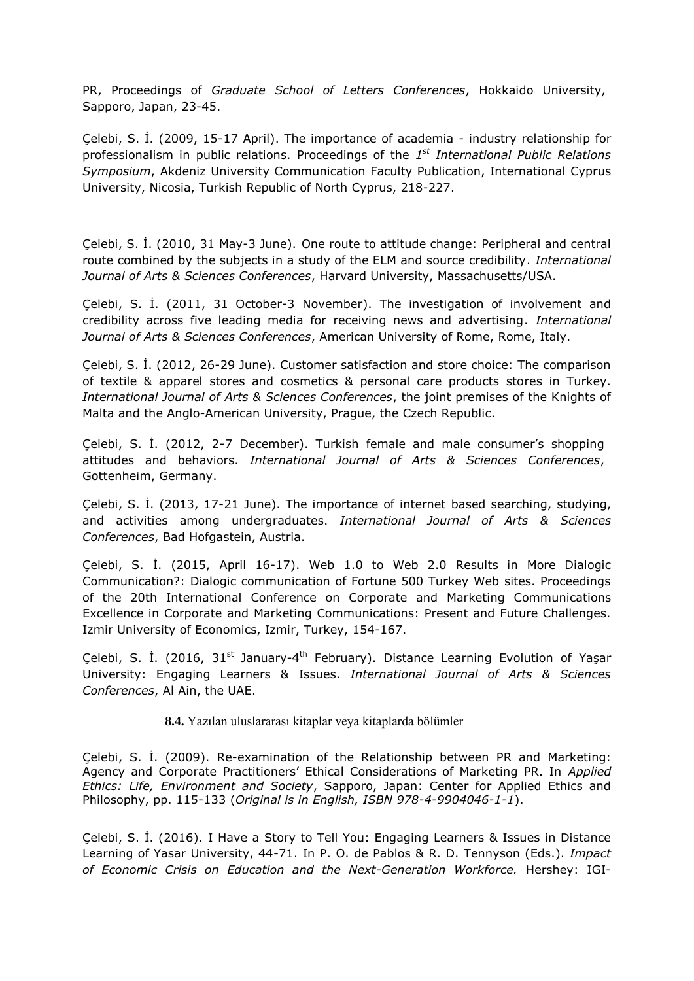PR, Proceedings of *Graduate School of Letters Conferences*, Hokkaido University, Sapporo, Japan, 23-45.

Çelebi, S. İ. (2009, 15-17 April). The importance of academia - industry relationship for professionalism in public relations. Proceedings of the *1 st International Public Relations Symposium*, Akdeniz University Communication Faculty Publication, International Cyprus University, Nicosia, Turkish Republic of North Cyprus, 218-227.

Çelebi, S. İ. (2010, 31 May-3 June). One route to attitude change: Peripheral and central route combined by the subjects in a study of the ELM and source credibility. *International Journal of Arts & Sciences Conferences*, Harvard University, Massachusetts/USA.

Çelebi, S. İ. (2011, 31 October-3 November). The investigation of involvement and credibility across five leading media for receiving news and advertising. *International Journal of Arts & Sciences Conferences*, American University of Rome, Rome, Italy.

Çelebi, S. İ. (2012, 26-29 June). Customer satisfaction and store choice: The comparison of textile & apparel stores and cosmetics & personal care products stores in Turkey. *International Journal of Arts & Sciences Conferences*, the joint premises of the Knights of Malta and the Anglo-American University, Prague, the Czech Republic.

Çelebi, S. İ. (2012, 2-7 December). Turkish female and male consumer's shopping attitudes and behaviors. *International Journal of Arts & Sciences Conferences*, Gottenheim, Germany.

Çelebi, S. İ. (2013, 17-21 June). The importance of internet based searching, studying, and activities among undergraduates. *International Journal of Arts & Sciences Conferences*, Bad Hofgastein, Austria.

Çelebi, S. İ. (2015, April 16-17). Web 1.0 to Web 2.0 Results in More Dialogic Communication?: Dialogic communication of Fortune 500 Turkey Web sites. Proceedings of the 20th International Conference on Corporate and Marketing Communications Excellence in Corporate and Marketing Communications: Present and Future Challenges. Izmir University of Economics, Izmir, Turkey, 154-167.

Çelebi, S. İ. (2016, 31<sup>st</sup> January-4<sup>th</sup> February). Distance Learning Evolution of Yaşar University: Engaging Learners & Issues. *International Journal of Arts & Sciences Conferences*, Al Ain, the UAE.

**8.4.** Yazılan uluslararası kitaplar veya kitaplarda bölümler

Çelebi, S. İ. (2009). Re-examination of the Relationship between PR and Marketing: Agency and Corporate Practitioners' Ethical Considerations of Marketing PR. In *Applied Ethics: Life, Environment and Society*, Sapporo, Japan: Center for Applied Ethics and Philosophy, pp. 115-133 (*Original is in English, ISBN 978-4-9904046-1-1*).

Çelebi, S. İ. (2016). I Have a Story to Tell You: Engaging Learners & Issues in Distance Learning of Yasar University, 44-71. In P. O. de Pablos & R. D. Tennyson (Eds.). *Impact of Economic Crisis on Education and the Next-Generation Workforce.* Hershey: IGI-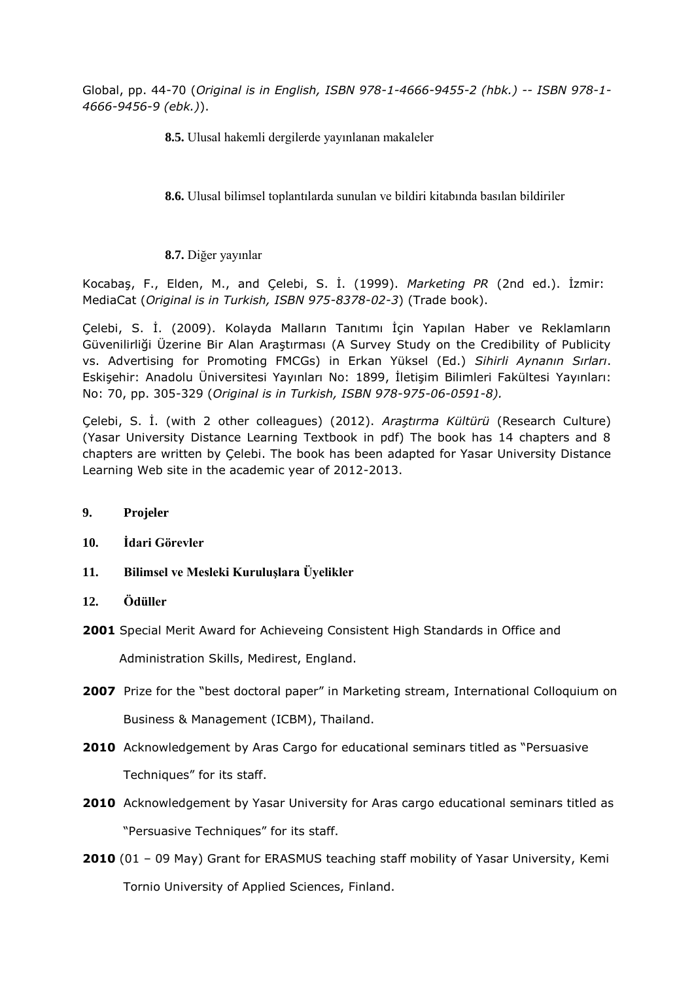Global, pp. 44-70 (*Original is in English, ISBN 978-1-4666-9455-2 (hbk.) -- ISBN 978-1- 4666-9456-9 (ebk.)*).

**8.5.** Ulusal hakemli dergilerde yayınlanan makaleler

**8.6.** Ulusal bilimsel toplantılarda sunulan ve bildiri kitabında basılan bildiriler

**8.7.** Diğer yayınlar

Kocabaş, F., Elden, M., and Çelebi, S. İ. (1999). *Marketing PR* (2nd ed.). İzmir: MediaCat (*Original is in Turkish, ISBN 975-8378-02-3*) (Trade book).

Çelebi, S. İ. (2009). Kolayda Malların Tanıtımı İçin Yapılan Haber ve Reklamların Güvenilirliği Üzerine Bir Alan Araştırması (A Survey Study on the Credibility of Publicity vs. Advertising for Promoting FMCGs) in Erkan Yüksel (Ed.) *Sihirli Aynanın Sırları*. Eskişehir: Anadolu Üniversitesi Yayınları No: 1899, İletişim Bilimleri Fakültesi Yayınları: No: 70, pp. 305-329 (*Original is in Turkish, ISBN 978-975-06-0591-8).*

Çelebi, S. İ. (with 2 other colleagues) (2012). *Araştırma Kültürü* (Research Culture) (Yasar University Distance Learning Textbook in pdf) The book has 14 chapters and 8 chapters are written by Çelebi. The book has been adapted for Yasar University Distance Learning Web site in the academic year of 2012-2013.

- **9. Projeler**
- **10. İdari Görevler**
- **11. Bilimsel ve Mesleki Kuruluşlara Üyelikler**
- **12. Ödüller**
- **2001** Special Merit Award for Achieveing Consistent High Standards in Office and

Administration Skills, Medirest, England.

- **2007** Prize for the "best doctoral paper" in Marketing stream, International Colloquium on Business & Management (ICBM), Thailand.
- **2010** Acknowledgement by Aras Cargo for educational seminars titled as "Persuasive Techniques" for its staff.
- **2010** Acknowledgement by Yasar University for Aras cargo educational seminars titled as "Persuasive Techniques" for its staff.
- **2010** (01 09 May) Grant for ERASMUS teaching staff mobility of Yasar University, Kemi Tornio University of Applied Sciences, Finland.